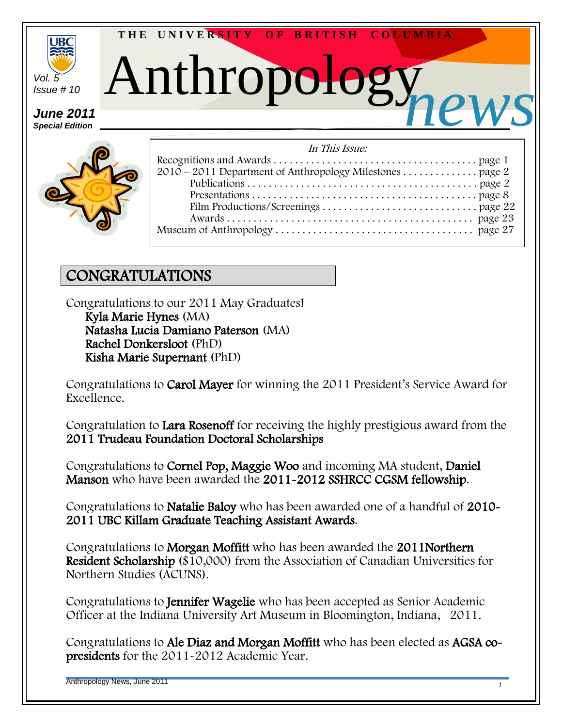

*Special Edition*



| In This Issue: |
|----------------|
|                |
|                |
|                |
|                |
|                |
|                |
|                |
|                |

#### CONGRATULATIONS

Congratulations to our 2011 May Graduates! Kyla Marie Hynes (MA)

 Natasha Lucia Damiano Paterson (MA) Rachel Donkersloot (PhD) Kisha Marie Supernant (PhD)

Congratulations to Carol Mayer for winning the 2011 President's Service Award for Excellence.

Congratulation to Lara Rosenoff for receiving the highly prestigious award from the 2011 Trudeau Foundation Doctoral Scholarships

Congratulations to Cornel Pop, Maggie Woo and incoming MA student, Daniel Manson who have been awarded the 2011-2012 SSHRCC CGSM fellowship.

Congratulations to Natalie Baloy who has been awarded one of a handful of 2010- 2011 UBC Killam Graduate Teaching Assistant Awards.

Congratulations to Morgan Moffitt who has been awarded the 2011Northern Resident Scholarship (\$10,000) from the Association of Canadian Universities for Northern Studies (ACUNS).

Congratulations to Jennifer Wagelie who has been accepted as Senior Academic Officer at the Indiana University Art Museum in Bloomington, Indiana, 2011.

Congratulations to Ale Diaz and Morgan Moffitt who has been elected as AGSA copresidents for the 2011-2012 Academic Year.

Anthropology News, June 2011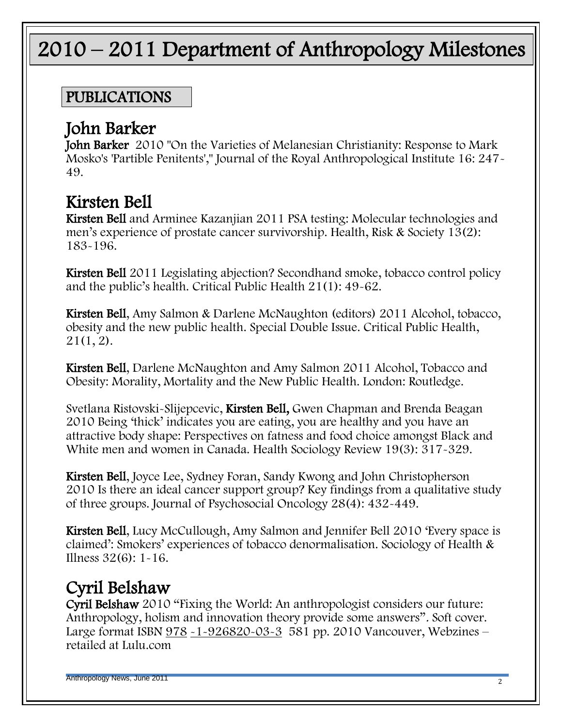# 2010 – 2011 Department of Anthropology Milestones

#### PUBLICATIONS

#### John Barker

John Barker 2010 "On the Varieties of Melanesian Christianity: Response to Mark Mosko's 'Partible Penitents'," Journal of the Royal Anthropological Institute 16: 247- 49.

# Kirsten Bell

Kirsten Bell and Arminee Kazanjian 2011 PSA testing: Molecular technologies and men's experience of prostate cancer survivorship. Health, Risk & Society 13(2): 183-196.

Kirsten Bell 2011 Legislating abjection? Secondhand smoke, tobacco control policy and the public's health. Critical Public Health 21(1): 49-62.

Kirsten Bell, Amy Salmon & Darlene McNaughton (editors) 2011 Alcohol, tobacco, obesity and the new public health. Special Double Issue. Critical Public Health, 21(1, 2).

Kirsten Bell, Darlene McNaughton and Amy Salmon 2011 Alcohol, Tobacco and Obesity: Morality, Mortality and the New Public Health. London: Routledge.

Svetlana Ristovski-Slijepcevic, Kirsten Bell, Gwen Chapman and Brenda Beagan 2010 Being ‗thick' indicates you are eating, you are healthy and you have an attractive body shape: Perspectives on fatness and food choice amongst Black and White men and women in Canada. Health Sociology Review 19(3): 317-329.

Kirsten Bell, Joyce Lee, Sydney Foran, Sandy Kwong and John Christopherson 2010 Is there an ideal cancer support group? Key findings from a qualitative study of three groups. Journal of Psychosocial Oncology 28(4): 432-449.

Kirsten Bell, Lucy McCullough, Amy Salmon and Jennifer Bell 2010 'Every space is claimed': Smokers' experiences of tobacco denormalisation. Sociology of Health & Illness 32(6): 1-16.

# Cyril Belshaw

Cyril Belshaw 2010 "Fixing the World: An anthropologist considers our future: Anthropology, holism and innovation theory provide some answers". Soft cover. Large format ISBN [978](http://www.collectionscanada.gc.ca/ciss-ssci/app/index.php?fuseaction=logbook.edit&publication=227493&lang=eng) [-1-926820-03-3](http://www.collectionscanada.gc.ca/ciss-ssci/app/index.php?fuseaction=logbook.edit&publication=227493&lang=eng) 581 pp. 2010 Vancouver, Webzines – retailed at Lulu.com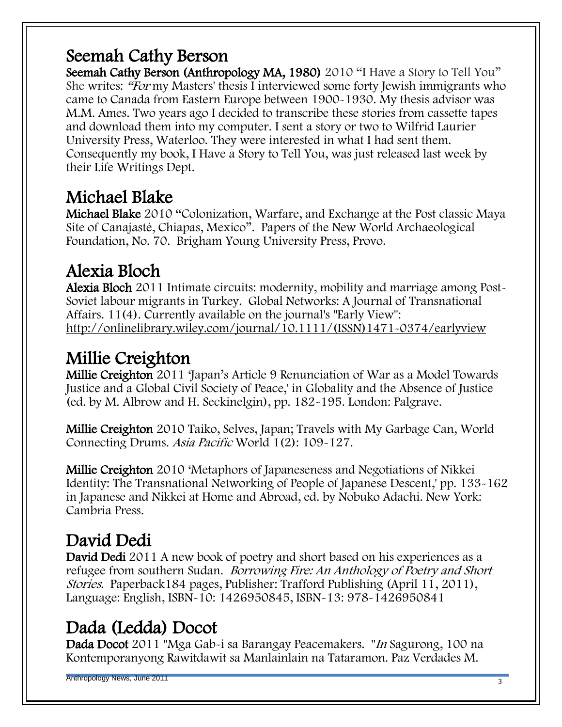# Seemah Cathy Berson

Seemah Cathy Berson (Anthropology MA, 1980) 2010 "I Have a Story to Tell You" She writes: "For my Masters' thesis I interviewed some forty Jewish immigrants who came to Canada from Eastern Europe between 1900-1930. My thesis advisor was M.M. Ames. Two years ago I decided to transcribe these stories from cassette tapes and download them into my computer. I sent a story or two to Wilfrid Laurier University Press, Waterloo. They were interested in what I had sent them. Consequently my book, I Have a Story to Tell You, was just released last week by their Life Writings Dept.

# Michael Blake

Michael Blake 2010 "Colonization, Warfare, and Exchange at the Post classic Maya Site of Canajasté, Chiapas, Mexico". Papers of the New World Archaeological Foundation, No. 70. Brigham Young University Press, Provo.

# Alexia Bloch

Alexia Bloch 2011 Intimate circuits: modernity, mobility and marriage among Post-Soviet labour migrants in Turkey. Global Networks: A Journal of Transnational Affairs. 11(4). Currently available on the journal's "Early View": [http://onlinelibrary.wiley.com/journal/10.1111/\(ISSN\)1471-0374/earlyview](http://onlinelibrary.wiley.com/journal/10.1111/(ISSN)1471-0374/earlyview)

# Millie Creighton

Millie Creighton 2011 'Japan's Article 9 Renunciation of War as a Model Towards Justice and a Global Civil Society of Peace,' in Globality and the Absence of Justice (ed. by M. Albrow and H. Seckinelgin), pp. 182-195. London: Palgrave.

Millie Creighton 2010 Taiko, Selves, Japan; Travels with My Garbage Can, World Connecting Drums. Asia Pacific World 1(2): 109-127.

Millie Creighton 2010 'Metaphors of Japaneseness and Negotiations of Nikkei Identity: The Transnational Networking of People of Japanese Descent,' pp. 133-162 in Japanese and Nikkei at Home and Abroad, ed. by Nobuko Adachi. New York: Cambria Press.

# David Dedi

David Dedi 2011 A new book of poetry and short based on his experiences as a refugee from southern Sudan. Borrowing Fire: An Anthology of Poetry and Short Stories. Paperback184 pages, Publisher: Trafford Publishing (April 11, 2011), Language: English, ISBN-10: 1426950845, ISBN-13: 978-1426950841

# Dada (Ledda) Docot

Dada Docot 2011 "Mga Gab-i sa Barangay Peacemakers. "In Sagurong, 100 na Kontemporanyong Rawitdawit sa Manlainlain na Tataramon. Paz Verdades M.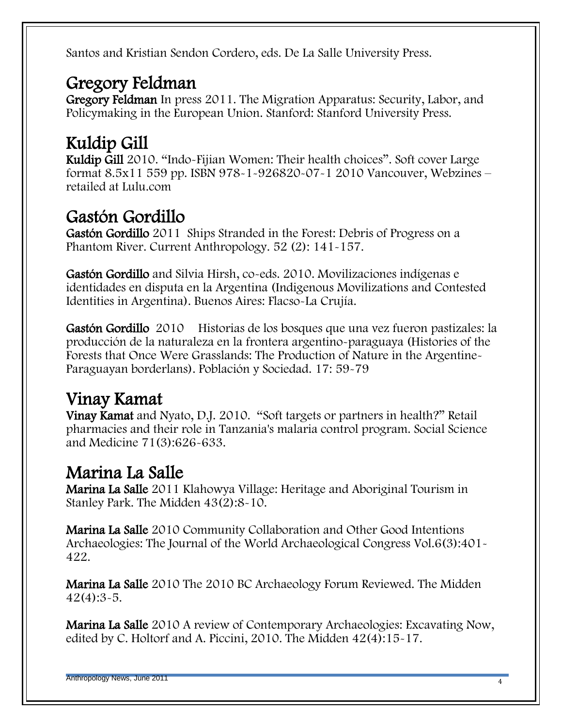Santos and Kristian Sendon Cordero, eds. De La Salle University Press.

#### Gregory Feldman

Gregory Feldman In press 2011. The Migration Apparatus: Security, Labor, and Policymaking in the European Union. Stanford: Stanford University Press.

# Kuldip Gill

Kuldip Gill 2010. "Indo-Fijian Women: Their health choices". Soft cover Large format 8.5x11 559 pp. ISBN 978-1-926820-07-1 2010 Vancouver, Webzines – retailed at Lulu.com

# Gastón Gordillo

Gastón Gordillo 2011 Ships Stranded in the Forest: Debris of Progress on a Phantom River. Current Anthropology. 52 (2): 141-157.

Gastón Gordillo and Silvia Hirsh, co-eds. 2010. Movilizaciones indígenas e identidades en disputa en la Argentina (Indigenous Movilizations and Contested Identities in Argentina). Buenos Aires: Flacso-La Crujía.

Gastón Gordillo 2010 Historias de los bosques que una vez fueron pastizales: la producción de la naturaleza en la frontera argentino-paraguaya (Histories of the Forests that Once Were Grasslands: The Production of Nature in the Argentine-Paraguayan borderlans). Población y Sociedad. 17: 59-79

# Vinay Kamat

Vinay Kamat and Nyato, D.J. 2010. "Soft targets or partners in health?" Retail pharmacies and their role in Tanzania's malaria control program. Social Science and Medicine 71(3):626-633.

## Marina La Salle

Marina La Salle 2011 Klahowya Village: Heritage and Aboriginal Tourism in Stanley Park. The Midden 43(2):8-10.

Marina La Salle 2010 Community Collaboration and Other Good Intentions Archaeologies: The Journal of the World Archaeological Congress Vol.6(3):401- 422.

Marina La Salle 2010 The 2010 BC Archaeology Forum Reviewed. The Midden  $42(4):3-5.$ 

Marina La Salle 2010 A review of Contemporary Archaeologies: Excavating Now, edited by C. Holtorf and A. Piccini, 2010. The Midden 42(4):15-17.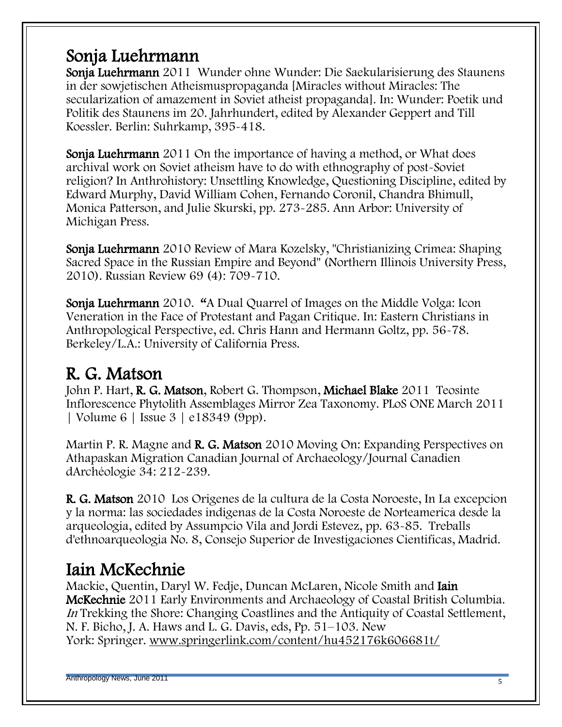#### Sonja Luehrmann

Sonja Luehrmann 2011 Wunder ohne Wunder: Die Saekularisierung des Staunens in der sowjetischen Atheismuspropaganda [Miracles without Miracles: The secularization of amazement in Soviet atheist propaganda]. In: Wunder: Poetik und Politik des Staunens im 20. Jahrhundert, edited by Alexander Geppert and Till Koessler. Berlin: Suhrkamp, 395-418.

Sonja Luehrmann 2011 On the importance of having a method, or What does archival work on Soviet atheism have to do with ethnography of post-Soviet religion? In Anthrohistory: Unsettling Knowledge, Questioning Discipline, edited by Edward Murphy, David William Cohen, Fernando Coronil, Chandra Bhimull, Monica Patterson, and Julie Skurski, pp. 273-285. Ann Arbor: University of Michigan Press.

Sonja Luehrmann 2010 Review of Mara Kozelsky, "Christianizing Crimea: Shaping Sacred Space in the Russian Empire and Beyond" (Northern Illinois University Press, 2010). Russian Review 69 (4): 709-710.

Sonja Luehrmann 2010. "A Dual Quarrel of Images on the Middle Volga: Icon Veneration in the Face of Protestant and Pagan Critique. In: Eastern Christians in Anthropological Perspective, ed. Chris Hann and Hermann Goltz, pp. 56-78. Berkeley/L.A.: University of California Press.

## R. G. Matson

John P. Hart, R. G. Matson, Robert G. Thompson, Michael Blake 2011 Teosinte Inflorescence Phytolith Assemblages Mirror Zea Taxonomy. PLoS ONE March 2011 | Volume 6 | Issue 3 | e18349 (9pp).

Martin P. R. Magne and R. G. Matson 2010 Moving On: Expanding Perspectives on Athapaskan Migration Canadian Journal of Archaeology/Journal Canadien dArchéologie 34: 212-239.

R. G. Matson 2010 Los Origenes de la cultura de la Costa Noroeste, In La excepcion y la norma: las sociedades indigenas de la Costa Noroeste de Norteamerica desde la arqueologia, edited by Assumpcio Vila and Jordi Estevez, pp. 63-85. Treballs d'ethnoarqueologia No. 8, Consejo Superior de Investigaciones Cientificas, Madrid.

## Iain McKechnie

Mackie, Quentin, Daryl W. Fedje, Duncan McLaren, Nicole Smith and Iain McKechnie 2011 Early Environments and Archaeology of Coastal British Columbia. In Trekking the Shore: Changing Coastlines and the Antiquity of Coastal Settlement, N. F. Bicho, J. A. Haws and L. G. Davis, eds, Pp. 51–103. New York: Springer. [www.springerlink.com/content/hu452176k606681t/](http://www.springerlink.com/content/hu452176k606681t/)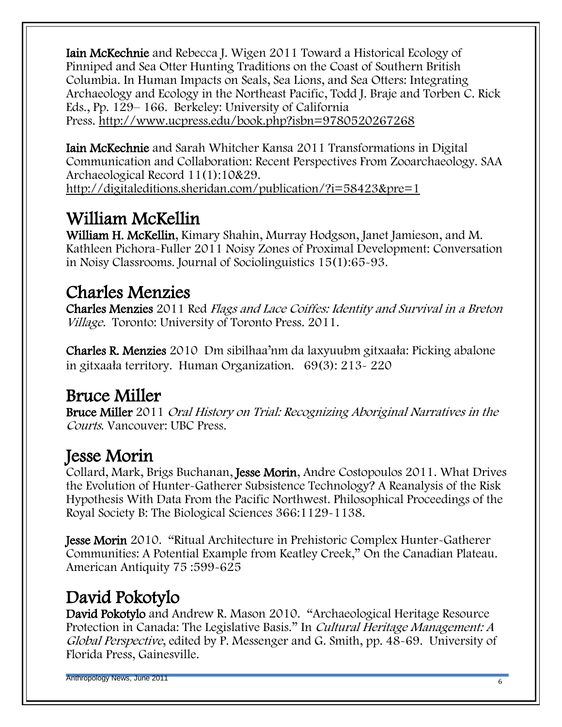Iain McKechnie and Rebecca J. Wigen 2011 Toward a Historical Ecology of Pinniped and Sea Otter Hunting Traditions on the Coast of Southern British Columbia. In Human Impacts on Seals, Sea Lions, and Sea Otters: Integrating Archaeology and Ecology in the Northeast Pacific, Todd J. Braje and Torben C. Rick Eds., Pp. 129– 166. Berkeley: University of California Press. <http://www.ucpress.edu/book.php?isbn=9780520267268>

Iain McKechnie and Sarah Whitcher Kansa 2011 Transformations in Digital Communication and Collaboration: Recent Perspectives From Zooarchaeology. SAA Archaeological Record 11(1):10&29. <http://digitaleditions.sheridan.com/publication/?i=58423&pre=1>

# William McKellin

William H. McKellin, Kimary Shahin, Murray Hodgson, Janet Jamieson, and M. Kathleen Pichora-Fuller 2011 Noisy Zones of Proximal Development: Conversation in Noisy Classrooms. Journal of Sociolinguistics 15(1):65-93.

# Charles Menzies

Charles Menzies 2011 Red Flags and Lace Coiffes: Identity and Survival in a Breton Village. Toronto: University of Toronto Press. 2011.

Charles R. Menzies 2010 Dm sibilhaa'nm da laxyuubm gitxaała: Picking abalone in gitxaała territory. Human Organization. 69(3): 213- 220

#### Bruce Miller

Bruce Miller 2011 Oral History on Trial: Recognizing Aboriginal Narratives in the Courts. Vancouver: UBC Press.

## Jesse Morin

Collard, Mark, Brigs Buchanan, Jesse Morin, Andre Costopoulos 2011. What Drives the Evolution of Hunter-Gatherer Subsistence Technology? A Reanalysis of the Risk Hypothesis With Data From the Pacific Northwest. Philosophical Proceedings of the Royal Society B: The Biological Sciences 366:1129-1138.

Jesse Morin 2010. "Ritual Architecture in Prehistoric Complex Hunter-Gatherer Communities: A Potential Example from Keatley Creek," On the Canadian Plateau. American Antiquity 75 :599-625

# David Pokotylo

David Pokotylo and Andrew R. Mason 2010. "Archaeological Heritage Resource Protection in Canada: The Legislative Basis." In *Cultural Heritage Management: A* Global Perspective, edited by P. Messenger and G. Smith, pp. 48-69. University of Florida Press, Gainesville.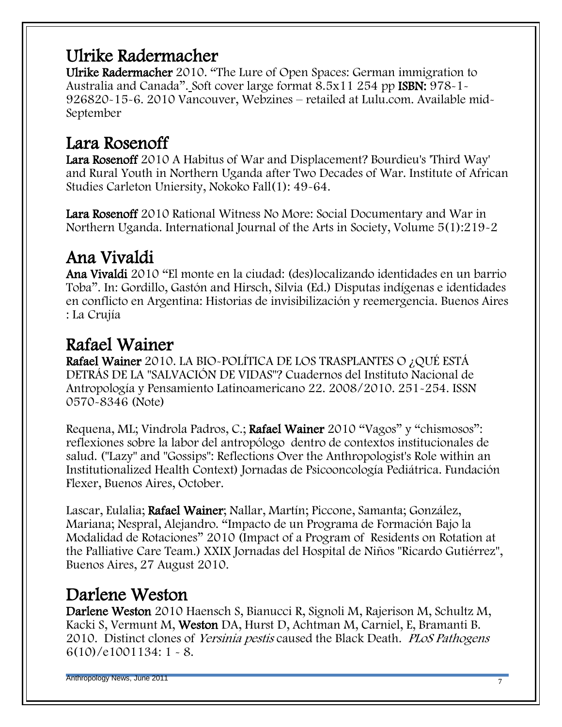#### Ulrike Radermacher

Ulrike Radermacher 2010. "The Lure of Open Spaces: German immigration to Australia and Canada". Soft cover large format 8.5x11 254 pp ISBN: 978-1-926820-15-6. 2010 Vancouver, Webzines – retailed at Lulu.com. Available mid-September

#### Lara Rosenoff

Lara Rosenoff 2010 A Habitus of War and Displacement? Bourdieu's 'Third Way' and Rural Youth in Northern Uganda after Two Decades of War. Institute of African Studies Carleton Uniersity, Nokoko Fall(1): 49-64.

Lara Rosenoff 2010 Rational Witness No More: Social Documentary and War in Northern Uganda. International Journal of the Arts in Society, Volume 5(1):219-2

# Ana Vivaldi

Ana Vivaldi 2010 ―El monte en la ciudad: (des)localizando identidades en un barrio Toba‖. In: Gordillo, Gastón and Hirsch, Silvia (Ed.) Disputas indígenas e identidades en conflicto en Argentina: Historias de invisibilización y reemergencia. Buenos Aires : La Crujía

#### Rafael Wainer

Rafael Wainer 2010. LA BIO-POLÍTICA DE LOS TRASPLANTES O ¿QUÉ ESTÁ DETRÁS DE LA "SALVACIÓN DE VIDAS"? Cuadernos del Instituto Nacional de Antropología y Pensamiento Latinoamericano 22. 2008/2010. 251-254. ISSN 0570-8346 (Note)

Requena, ML; Vindrola Padros, C.; Rafael Wainer 2010 "Vagos" y "chismosos": reflexiones sobre la labor del antropólogo dentro de contextos institucionales de salud. ("Lazy" and "Gossips": Reflections Over the Anthropologist's Role within an Institutionalized Health Context) Jornadas de Psicooncología Pediátrica. Fundación Flexer, Buenos Aires, October.

Lascar, Eulalia; Rafael Wainer; Nallar, Martín; Piccone, Samanta; González, Mariana; Nespral, Alejandro. "Impacto de un Programa de Formación Bajo la Modalidad de Rotaciones" 2010 (Impact of a Program of Residents on Rotation at the Palliative Care Team.) XXIX Jornadas del Hospital de Niños "Ricardo Gutiérrez", Buenos Aires, 27 August 2010.

#### Darlene Weston

Darlene Weston 2010 Haensch S, Bianucci R, Signoli M, Rajerison M, Schultz M, Kacki S, Vermunt M, Weston DA, Hurst D, Achtman M, Carniel, E, Bramanti B. 2010. Distinct clones of *Yersinia pestis* caused the Black Death. *PLoS Pathogens* 6(10)/e1001134: 1 - 8.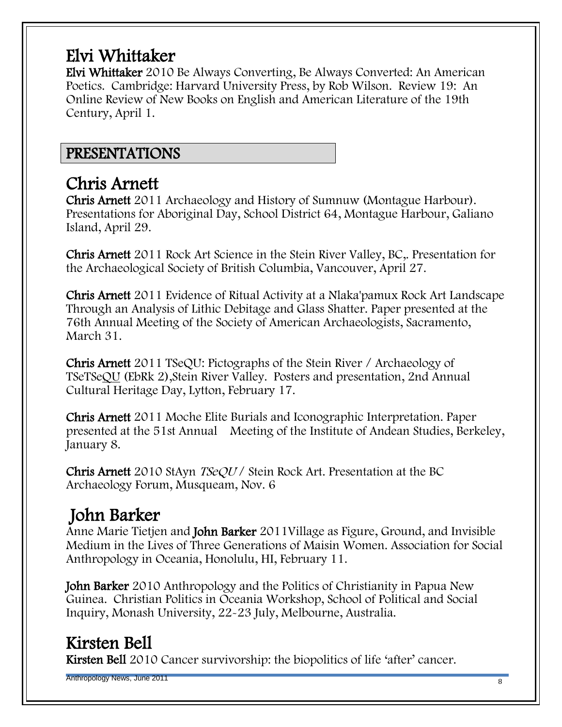# Elvi Whittaker

Elvi Whittaker 2010 Be Always Converting, Be Always Converted: An American Poetics. Cambridge: Harvard University Press, by Rob Wilson. Review 19: An Online Review of New Books on English and American Literature of the 19th Century, April 1.

#### PRESENTATIONS

#### Chris Arnett

Chris Arnett 2011 Archaeology and History of Sumnuw (Montague Harbour). Presentations for Aboriginal Day, School District 64, Montague Harbour, Galiano Island, April 29.

Chris Arnett 2011 Rock Art Science in the Stein River Valley, BC,. Presentation for the Archaeological Society of British Columbia, Vancouver, April 27.

Chris Arnett 2011 Evidence of Ritual Activity at a Nlaka'pamux Rock Art Landscape Through an Analysis of Lithic Debitage and Glass Shatter. Paper presented at the 76th Annual Meeting of the Society of American Archaeologists, Sacramento, March 31.

Chris Arnett 2011 TSeQU: Pictographs of the Stein River / Archaeology of TSeTSeQU (EbRk 2),Stein River Valley. Posters and presentation, 2nd Annual Cultural Heritage Day, Lytton, February 17.

Chris Arnett 2011 Moche Elite Burials and Iconographic Interpretation. Paper presented at the 51st Annual Meeting of the Institute of Andean Studies, Berkeley, January 8.

Chris Arnett 2010 StAyn TSeQU / Stein Rock Art. Presentation at the BC Archaeology Forum, Musqueam, Nov. 6

# John Barker

Anne Marie Tietjen and John Barker 2011Village as Figure, Ground, and Invisible Medium in the Lives of Three Generations of Maisin Women. Association for Social Anthropology in Oceania, Honolulu, HI, February 11.

John Barker 2010 Anthropology and the Politics of Christianity in Papua New Guinea. Christian Politics in Oceania Workshop, School of Political and Social Inquiry, Monash University, 22-23 July, Melbourne, Australia.

#### Kirsten Bell

Kirsten Bell 2010 Cancer survivorship: the biopolitics of life 'after' cancer.

Anthropology News, June 2011 **8** and the contract of the contract of the contract of the contract of the contract of the contract of the contract of the contract of the contract of the contract of the contract of the contr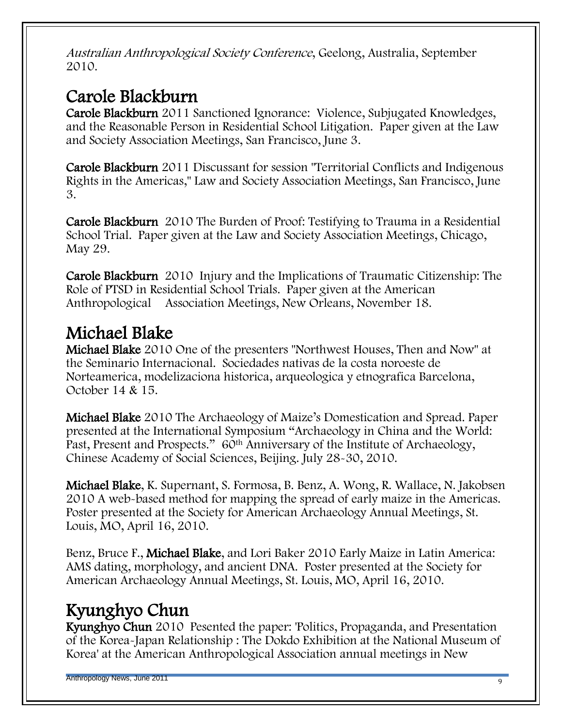Australian Anthropological Society Conference, Geelong, Australia, September 2010.

# Carole Blackburn

Carole Blackburn 2011 Sanctioned Ignorance: Violence, Subjugated Knowledges, and the Reasonable Person in Residential School Litigation. Paper given at the Law and Society Association Meetings, San Francisco, June 3.

Carole Blackburn 2011 Discussant for session "Territorial Conflicts and Indigenous Rights in the Americas," Law and Society Association Meetings, San Francisco, June 3.

Carole Blackburn 2010 The Burden of Proof: Testifying to Trauma in a Residential School Trial. Paper given at the Law and Society Association Meetings, Chicago, May 29.

Carole Blackburn 2010 Injury and the Implications of Traumatic Citizenship: The Role of PTSD in Residential School Trials. Paper given at the American Anthropological Association Meetings, New Orleans, November 18.

# Michael Blake

Michael Blake 2010 One of the presenters "Northwest Houses, Then and Now" at the Seminario Internacional. Sociedades nativas de la costa noroeste de Norteamerica, modelizaciona historica, arqueologica y etnografica Barcelona, October 14 & 15.

Michael Blake 2010 The Archaeology of Maize's Domestication and Spread. Paper presented at the International Symposium "Archaeology in China and the World: Past, Present and Prospects." 60<sup>th</sup> Anniversary of the Institute of Archaeology, Chinese Academy of Social Sciences, Beijing. July 28-30, 2010.

Michael Blake, K. Supernant, S. Formosa, B. Benz, A. Wong, R. Wallace, N. Jakobsen 2010 A web-based method for mapping the spread of early maize in the Americas. Poster presented at the Society for American Archaeology Annual Meetings, St. Louis, MO, April 16, 2010.

Benz, Bruce F., Michael Blake, and Lori Baker 2010 Early Maize in Latin America: AMS dating, morphology, and ancient DNA. Poster presented at the Society for American Archaeology Annual Meetings, St. Louis, MO, April 16, 2010.

## Kyunghyo Chun

Kyunghyo Chun 2010 Pesented the paper: 'Politics, Propaganda, and Presentation of the Korea-Japan Relationship : The Dokdo Exhibition at the National Museum of Korea' at the American Anthropological Association annual meetings in New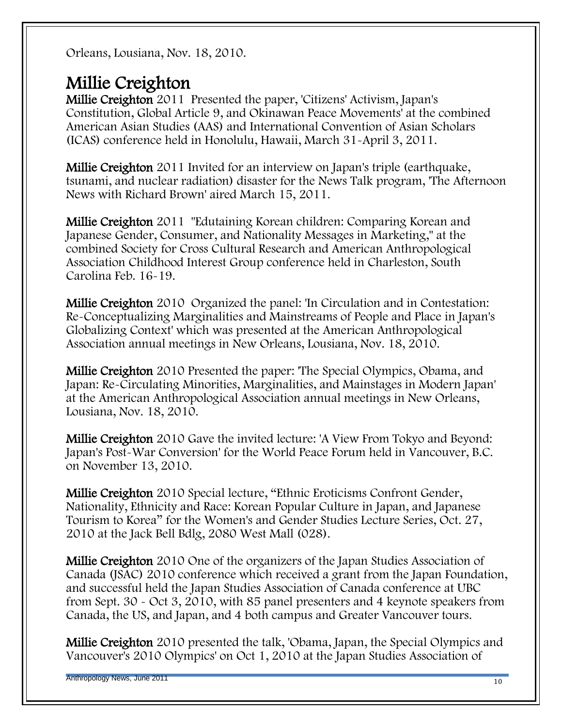Orleans, Lousiana, Nov. 18, 2010.

#### Millie Creighton

Millie Creighton 2011 Presented the paper, 'Citizens' Activism, Japan's Constitution, Global Article 9, and Okinawan Peace Movements' at the combined American Asian Studies (AAS) and International Convention of Asian Scholars (ICAS) conference held in Honolulu, Hawaii, March 31-April 3, 2011.

Millie Creighton 2011 Invited for an interview on Japan's triple (earthquake, tsunami, and nuclear radiation) disaster for the News Talk program, 'The Afternoon News with Richard Brown' aired March 15, 2011.

Millie Creighton 2011 "Edutaining Korean children: Comparing Korean and Japanese Gender, Consumer, and Nationality Messages in Marketing," at the combined Society for Cross Cultural Research and American Anthropological Association Childhood Interest Group conference held in Charleston, South Carolina Feb. 16-19.

Millie Creighton 2010 Organized the panel: 'In Circulation and in Contestation: Re-Conceptualizing Marginalities and Mainstreams of People and Place in Japan's Globalizing Context' which was presented at the American Anthropological Association annual meetings in New Orleans, Lousiana, Nov. 18, 2010.

Millie Creighton 2010 Presented the paper: 'The Special Olympics, Obama, and Japan: Re-Circulating Minorities, Marginalities, and Mainstages in Modern Japan' at the American Anthropological Association annual meetings in New Orleans, Lousiana, Nov. 18, 2010.

Millie Creighton 2010 Gave the invited lecture: 'A View From Tokyo and Beyond: Japan's Post-War Conversion' for the World Peace Forum held in Vancouver, B.C. on November 13, 2010.

Millie Creighton 2010 Special lecture, "Ethnic Eroticisms Confront Gender, Nationality, Ethnicity and Race: Korean Popular Culture in Japan, and Japanese Tourism to Korea" for the Women's and Gender Studies Lecture Series, Oct. 27, 2010 at the Jack Bell Bdlg, 2080 West Mall (028).

Millie Creighton 2010 One of the organizers of the Japan Studies Association of Canada (JSAC) 2010 conference which received a grant from the Japan Foundation, and successful held the Japan Studies Association of Canada conference at UBC from Sept. 30 - Oct 3, 2010, with 85 panel presenters and 4 keynote speakers from Canada, the US, and Japan, and 4 both campus and Greater Vancouver tours.

Millie Creighton 2010 presented the talk, 'Obama, Japan, the Special Olympics and Vancouver's 2010 Olympics' on Oct 1, 2010 at the Japan Studies Association of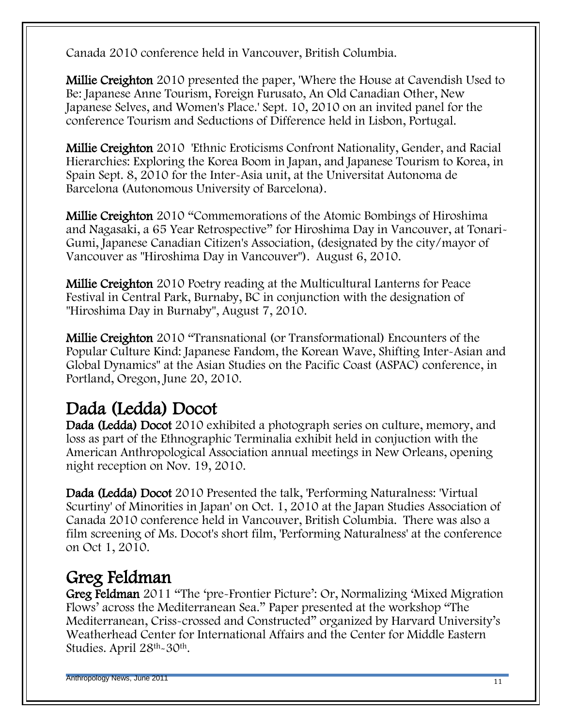Canada 2010 conference held in Vancouver, British Columbia.

Millie Creighton 2010 presented the paper, 'Where the House at Cavendish Used to Be: Japanese Anne Tourism, Foreign Furusato, An Old Canadian Other, New Japanese Selves, and Women's Place.' Sept. 10, 2010 on an invited panel for the conference Tourism and Seductions of Difference held in Lisbon, Portugal.

Millie Creighton 2010 'Ethnic Eroticisms Confront Nationality, Gender, and Racial Hierarchies: Exploring the Korea Boom in Japan, and Japanese Tourism to Korea, in Spain Sept. 8, 2010 for the Inter-Asia unit, at the Universitat Autonoma de Barcelona (Autonomous University of Barcelona).

Millie Creighton 2010 "Commemorations of the Atomic Bombings of Hiroshima and Nagasaki, a 65 Year Retrospective" for Hiroshima Day in Vancouver, at Tonari-Gumi, Japanese Canadian Citizen's Association, (designated by the city/mayor of Vancouver as "Hiroshima Day in Vancouver"). August 6, 2010.

Millie Creighton 2010 Poetry reading at the Multicultural Lanterns for Peace Festival in Central Park, Burnaby, BC in conjunction with the designation of "Hiroshima Day in Burnaby", August 7, 2010.

Millie Creighton 2010 "Transnational (or Transformational) Encounters of the Popular Culture Kind: Japanese Fandom, the Korean Wave, Shifting Inter-Asian and Global Dynamics" at the Asian Studies on the Pacific Coast (ASPAC) conference, in Portland, Oregon, June 20, 2010.

# Dada (Ledda) Docot

Dada (Ledda) Docot 2010 exhibited a photograph series on culture, memory, and loss as part of the Ethnographic Terminalia exhibit held in conjuction with the American Anthropological Association annual meetings in New Orleans, opening night reception on Nov. 19, 2010.

Dada (Ledda) Docot 2010 Presented the talk, 'Performing Naturalness: 'Virtual Scurtiny' of Minorities in Japan' on Oct. 1, 2010 at the Japan Studies Association of Canada 2010 conference held in Vancouver, British Columbia. There was also a film screening of Ms. Docot's short film, 'Performing Naturalness' at the conference on Oct 1, 2010.

## Greg Feldman

Greg Feldman 2011 "The 'pre-Frontier Picture': Or, Normalizing 'Mixed Migration Flows' across the Mediterranean Sea." Paper presented at the workshop "The Mediterranean, Criss-crossed and Constructed" organized by Harvard University's Weatherhead Center for International Affairs and the Center for Middle Eastern Studies. April 28th-30th.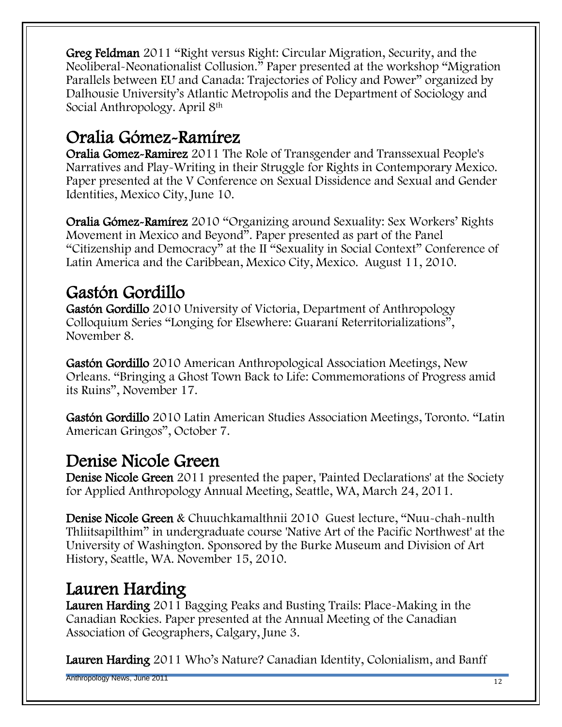Greg Feldman 2011 "Right versus Right: Circular Migration, Security, and the Neoliberal-Neonationalist Collusion." Paper presented at the workshop "Migration Parallels between EU and Canada: Trajectories of Policy and Power" organized by Dalhousie University's Atlantic Metropolis and the Department of Sociology and Social Anthropology. April 8th

# Oralia Gómez-Ramírez

Oralia Gomez-Ramirez 2011 The Role of Transgender and Transsexual People's Narratives and Play-Writing in their Struggle for Rights in Contemporary Mexico. Paper presented at the V Conference on Sexual Dissidence and Sexual and Gender Identities, Mexico City, June 10.

Oralia Gómez-Ramírez 2010 "Organizing around Sexuality: Sex Workers' Rights Movement in Mexico and Beyond<sup>"</sup>. Paper presented as part of the Panel "Citizenship and Democracy" at the II "Sexuality in Social Context" Conference of Latin America and the Caribbean, Mexico City, Mexico. August 11, 2010.

# Gastón Gordillo

Gastón Gordillo 2010 University of Victoria, Department of Anthropology Colloquium Series "Longing for Elsewhere: Guaraní Reterritorializations", November 8.

Gastón Gordillo 2010 American Anthropological Association Meetings, New Orleans. ―Bringing a Ghost Town Back to Life: Commemorations of Progress amid its Ruins", November 17.

Gastón Gordillo 2010 Latin American Studies Association Meetings, Toronto. "Latin American Gringos", October 7.

#### Denise Nicole Green

Denise Nicole Green 2011 presented the paper, 'Painted Declarations' at the Society for Applied Anthropology Annual Meeting, Seattle, WA, March 24, 2011.

Denise Nicole Green & Chuuchkamalthnii 2010 Guest lecture, "Nuu-chah-nulth Thliitsapilthim‖ in undergraduate course 'Native Art of the Pacific Northwest' at the University of Washington. Sponsored by the Burke Museum and Division of Art History, Seattle, WA. November 15, 2010.

# Lauren Harding

Lauren Harding 2011 Bagging Peaks and Busting Trails: Place-Making in the Canadian Rockies. Paper presented at the Annual Meeting of the Canadian Association of Geographers, Calgary, June 3.

Lauren Harding 2011 Who's Nature? Canadian Identity, Colonialism, and Banff

Anthropology News, June 2011 **12** and the contract of the contract of the contract of the contract of the contract of the contract of the contract of the contract of the contract of the contract of the contract of the cont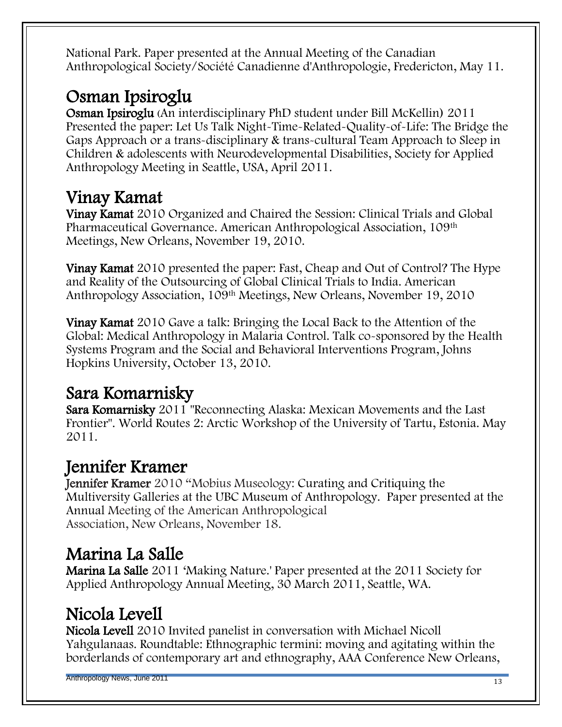National Park. Paper presented at the Annual Meeting of the Canadian Anthropological Society/Société Canadienne d'Anthropologie, Fredericton, May 11.

# Osman Ipsiroglu

Osman Ipsiroglu (An interdisciplinary PhD student under Bill McKellin) 2011 Presented the paper: Let Us Talk Night-Time-Related-Quality-of-Life: The Bridge the Gaps Approach or a trans-disciplinary & trans-cultural Team Approach to Sleep in Children & adolescents with Neurodevelopmental Disabilities, Society for Applied Anthropology Meeting in Seattle, USA, April 2011.

# Vinay Kamat

Vinay Kamat 2010 Organized and Chaired the Session: Clinical Trials and Global Pharmaceutical Governance. American Anthropological Association, 109th Meetings, New Orleans, November 19, 2010.

Vinay Kamat 2010 presented the paper: Fast, Cheap and Out of Control? The Hype and Reality of the Outsourcing of Global Clinical Trials to India. American Anthropology Association, 109th Meetings, New Orleans, November 19, 2010

Vinay Kamat 2010 Gave a talk: Bringing the Local Back to the Attention of the Global: Medical Anthropology in Malaria Control. Talk co-sponsored by the Health Systems Program and the Social and Behavioral Interventions Program, Johns Hopkins University, October 13, 2010.

# Sara Komarnisky

Sara Komarnisky 2011 "Reconnecting Alaska: Mexican Movements and the Last Frontier". World Routes 2: Arctic Workshop of the University of Tartu, Estonia. May 2011.

# Jennifer Kramer

Jennifer Kramer 2010 "Mobius Museology: Curating and Critiquing the Multiversity Galleries at the UBC Museum of Anthropology. Paper presented at the Annual Meeting of the American Anthropological Association, New Orleans, November 18.

## Marina La Salle

Marina La Salle 2011 ‗Making Nature.' Paper presented at the 2011 Society for Applied Anthropology Annual Meeting, 30 March 2011, Seattle, WA.

# Nicola Levell

Nicola Levell 2010 Invited panelist in conversation with Michael Nicoll Yahgulanaas. Roundtable: Ethnographic termini: moving and agitating within the borderlands of contemporary art and ethnography, AAA Conference New Orleans,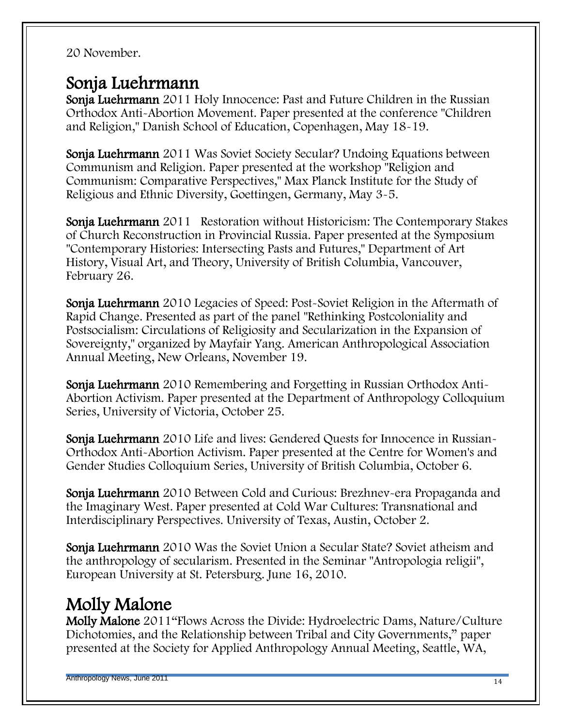#### 20 November.

#### Sonja Luehrmann

Sonja Luehrmann 2011 Holy Innocence: Past and Future Children in the Russian Orthodox Anti-Abortion Movement. Paper presented at the conference "Children and Religion," Danish School of Education, Copenhagen, May 18-19.

Sonja Luehrmann 2011 Was Soviet Society Secular? Undoing Equations between Communism and Religion. Paper presented at the workshop "Religion and Communism: Comparative Perspectives," Max Planck Institute for the Study of Religious and Ethnic Diversity, Goettingen, Germany, May 3-5.

Sonja Luehrmann 2011 Restoration without Historicism: The Contemporary Stakes of Church Reconstruction in Provincial Russia. Paper presented at the Symposium "Contemporary Histories: Intersecting Pasts and Futures," Department of Art History, Visual Art, and Theory, University of British Columbia, Vancouver, February 26.

Sonja Luehrmann 2010 Legacies of Speed: Post-Soviet Religion in the Aftermath of Rapid Change. Presented as part of the panel "Rethinking Postcoloniality and Postsocialism: Circulations of Religiosity and Secularization in the Expansion of Sovereignty," organized by Mayfair Yang. American Anthropological Association Annual Meeting, New Orleans, November 19.

Sonja Luehrmann 2010 Remembering and Forgetting in Russian Orthodox Anti-Abortion Activism. Paper presented at the Department of Anthropology Colloquium Series, University of Victoria, October 25.

Sonja Luehrmann 2010 Life and lives: Gendered Quests for Innocence in Russian-Orthodox Anti-Abortion Activism. Paper presented at the Centre for Women's and Gender Studies Colloquium Series, University of British Columbia, October 6.

Sonja Luehrmann 2010 Between Cold and Curious: Brezhnev-era Propaganda and the Imaginary West. Paper presented at Cold War Cultures: Transnational and Interdisciplinary Perspectives. University of Texas, Austin, October 2.

Sonja Luehrmann 2010 Was the Soviet Union a Secular State? Soviet atheism and the anthropology of secularism. Presented in the Seminar "Antropologia religii", European University at St. Petersburg. June 16, 2010.

# Molly Malone

Molly Malone 2011"Flows Across the Divide: Hydroelectric Dams, Nature/Culture Dichotomies, and the Relationship between Tribal and City Governments," paper presented at the Society for Applied Anthropology Annual Meeting, Seattle, WA,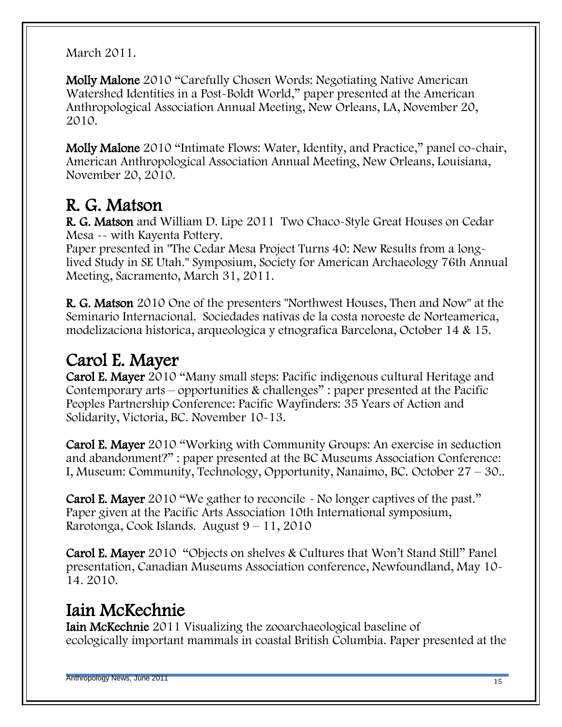March 2011.

Molly Malone 2010 "Carefully Chosen Words: Negotiating Native American Watershed Identities in a Post-Boldt World," paper presented at the American Anthropological Association Annual Meeting, New Orleans, LA, November 20, 2010.

Molly Malone 2010 "Intimate Flows: Water, Identity, and Practice," panel co-chair, American Anthropological Association Annual Meeting, New Orleans, Louisiana, November 20, 2010.

# R. G. Matson

R. G. Matson and William D. Lipe 2011 Two Chaco-Style Great Houses on Cedar Mesa -- with Kayenta Pottery.

Paper presented in "The Cedar Mesa Project Turns 40: New Results from a longlived Study in SE Utah." Symposium, Society for American Archaeology 76th Annual Meeting, Sacramento, March 31, 2011.

R. G. Matson 2010 One of the presenters "Northwest Houses, Then and Now" at the Seminario Internacional. Sociedades nativas de la costa noroeste de Norteamerica, modelizaciona historica, arqueologica y etnografica Barcelona, October 14 & 15.

# Carol E. Mayer

Carol E. Mayer 2010 "Many small steps: Pacific indigenous cultural Heritage and Contemporary arts – opportunities & challenges": paper presented at the Pacific Peoples Partnership Conference: Pacific Wayfinders: 35 Years of Action and Solidarity, Victoria, BC. November 10-13.

Carol E. Mayer 2010 "Working with Community Groups: An exercise in seduction and abandonment?": paper presented at the BC Museums Association Conference: I, Museum: Community, Technology, Opportunity, Nanaimo, BC. October 27 – 30..

Carol E. Mayer 2010 "We gather to reconcile - No longer captives of the past." Paper given at the Pacific Arts Association 10th International symposium, Rarotonga, Cook Islands. August  $9 - 11$ , 2010

Carol E. Mayer 2010 
"Objects on shelves & Cultures that Won't Stand Still" Panel presentation, Canadian Museums Association conference, Newfoundland, May 10- 14. 2010.

## Iain McKechnie

Iain McKechnie 2011 Visualizing the zooarchaeological baseline of ecologically important mammals in coastal British Columbia. Paper presented at the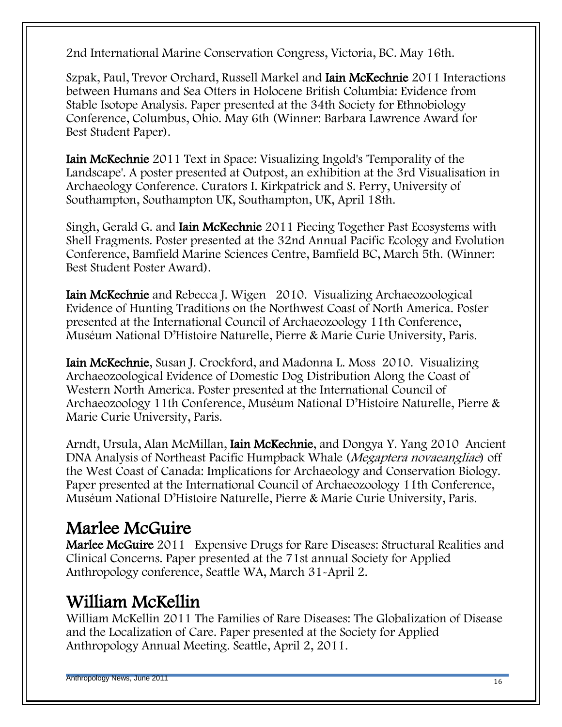2nd International Marine Conservation Congress, Victoria, BC. May 16th.

Szpak, Paul, Trevor Orchard, Russell Markel and Iain McKechnie 2011 Interactions between Humans and Sea Otters in Holocene British Columbia: Evidence from Stable Isotope Analysis. Paper presented at the 34th Society for Ethnobiology Conference, Columbus, Ohio. May 6th (Winner: Barbara Lawrence Award for Best Student Paper).

Iain McKechnie 2011 Text in Space: Visualizing Ingold's 'Temporality of the Landscape'. A poster presented at Outpost, an exhibition at the 3rd Visualisation in Archaeology Conference. Curators I. Kirkpatrick and S. Perry, University of Southampton, Southampton UK, Southampton, UK, April 18th.

Singh, Gerald G. and Iain McKechnie 2011 Piecing Together Past Ecosystems with Shell Fragments. Poster presented at the 32nd Annual Pacific Ecology and Evolution Conference, Bamfield Marine Sciences Centre, Bamfield BC, March 5th. (Winner: Best Student Poster Award).

Iain McKechnie and Rebecca J. Wigen 2010. Visualizing Archaeozoological Evidence of Hunting Traditions on the Northwest Coast of North America. Poster presented at the International Council of Archaeozoology 11th Conference, Muséum National D'Histoire Naturelle, Pierre & Marie Curie University, Paris.

Iain McKechnie, Susan J. Crockford, and Madonna L. Moss 2010. Visualizing Archaeozoological Evidence of Domestic Dog Distribution Along the Coast of Western North America. Poster presented at the International Council of Archaeozoology 11th Conference, Muséum National D'Histoire Naturelle, Pierre & Marie Curie University, Paris.

Arndt, Ursula, Alan McMillan, Iain McKechnie, and Dongya Y. Yang 2010 Ancient DNA Analysis of Northeast Pacific Humpback Whale (Megaptera novaeangliae) off the West Coast of Canada: Implications for Archaeology and Conservation Biology. Paper presented at the International Council of Archaeozoology 11th Conference, Muséum National D'Histoire Naturelle, Pierre & Marie Curie University, Paris.

## Marlee McGuire

Marlee McGuire 2011 Expensive Drugs for Rare Diseases: Structural Realities and Clinical Concerns. Paper presented at the 71st annual Society for Applied Anthropology conference, Seattle WA, March 31-April 2.

# William McKellin

William McKellin 2011 The Families of Rare Diseases: The Globalization of Disease and the Localization of Care. Paper presented at the Society for Applied Anthropology Annual Meeting. Seattle, April 2, 2011.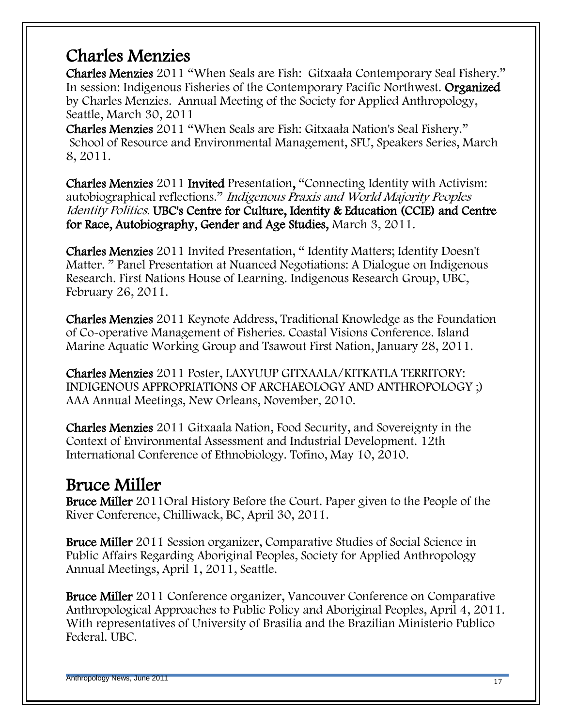#### Charles Menzies

Charles Menzies 2011 "When Seals are Fish: Gitxaała Contemporary Seal Fishery." In session: Indigenous Fisheries of the Contemporary Pacific Northwest. Organized by Charles Menzies. Annual Meeting of the Society for Applied Anthropology, Seattle, March 30, 2011

Charles Menzies 2011 "When Seals are Fish: Gitxaała Nation's Seal Fishery." School of Resource and Environmental Management, SFU, Speakers Series, March 8, 2011.

Charles Menzies 2011 Invited Presentation, "Connecting Identity with Activism: autobiographical reflections." Indigenous Praxis and World Majority Peoples Identity Politics. UBC's Centre for Culture, Identity & Education (CCIE) and Centre for Race, Autobiography, Gender and Age Studies, March 3, 2011.

Charles Menzies 2011 Invited Presentation, "Identity Matters; Identity Doesn't Matter. " Panel Presentation at Nuanced Negotiations: A Dialogue on Indigenous Research. First Nations House of Learning. Indigenous Research Group, UBC, February 26, 2011.

Charles Menzies 2011 Keynote Address, Traditional Knowledge as the Foundation of Co-operative Management of Fisheries. Coastal Visions Conference. Island Marine Aquatic Working Group and Tsawout First Nation, January 28, 2011.

Charles Menzies 2011 Poster, LAXYUUP GITXAALA/KITKATLA TERRITORY: INDIGENOUS APPROPRIATIONS OF ARCHAEOLOGY AND ANTHROPOLOGY ;) AAA Annual Meetings, New Orleans, November, 2010.

Charles Menzies 2011 Gitxaala Nation, Food Security, and Sovereignty in the Context of Environmental Assessment and Industrial Development. 12th International Conference of Ethnobiology. Tofino, May 10, 2010.

#### Bruce Miller

Bruce Miller 2011Oral History Before the Court. Paper given to the People of the River Conference, Chilliwack, BC, April 30, 2011.

Bruce Miller 2011 Session organizer, Comparative Studies of Social Science in Public Affairs Regarding Aboriginal Peoples, Society for Applied Anthropology Annual Meetings, April 1, 2011, Seattle.

Bruce Miller 2011 Conference organizer, Vancouver Conference on Comparative Anthropological Approaches to Public Policy and Aboriginal Peoples, April 4, 2011. With representatives of University of Brasilia and the Brazilian Ministerio Publico Federal. UBC.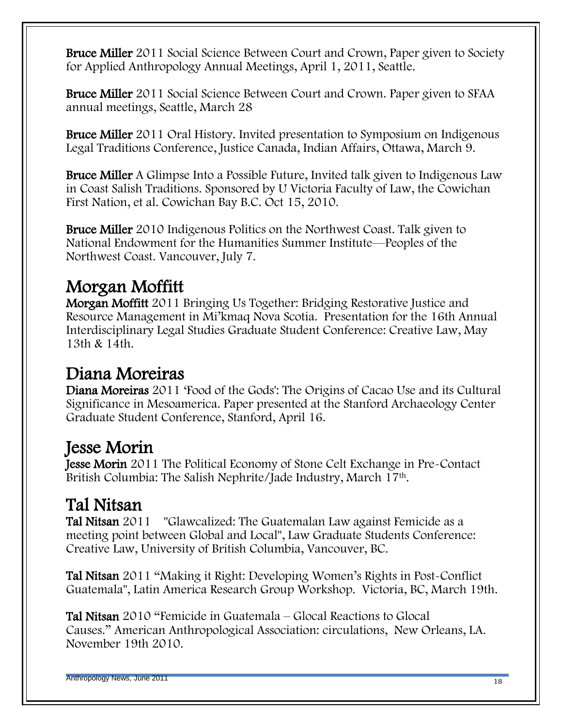Bruce Miller 2011 Social Science Between Court and Crown, Paper given to Society for Applied Anthropology Annual Meetings, April 1, 2011, Seattle.

Bruce Miller 2011 Social Science Between Court and Crown. Paper given to SFAA annual meetings, Seattle, March 28

Bruce Miller 2011 Oral History. Invited presentation to Symposium on Indigenous Legal Traditions Conference, Justice Canada, Indian Affairs, Ottawa, March 9.

Bruce Miller A Glimpse Into a Possible Future, Invited talk given to Indigenous Law in Coast Salish Traditions. Sponsored by U Victoria Faculty of Law, the Cowichan First Nation, et al. Cowichan Bay B.C. Oct 15, 2010.

Bruce Miller 2010 Indigenous Politics on the Northwest Coast. Talk given to National Endowment for the Humanities Summer Institute—Peoples of the Northwest Coast. Vancouver, July 7.

# Morgan Moffitt

Morgan Moffitt 2011 Bringing Us Together: Bridging Restorative Justice and Resource Management in Mi'kmaq Nova Scotia. Presentation for the 16th Annual Interdisciplinary Legal Studies Graduate Student Conference: Creative Law, May 13th & 14th.

#### Diana Moreiras

Diana Moreiras 2011 'Food of the Gods': The Origins of Cacao Use and its Cultural Significance in Mesoamerica. Paper presented at the Stanford Archaeology Center Graduate Student Conference, Stanford, April 16.

## Jesse Morin

Jesse Morin 2011 The Political Economy of Stone Celt Exchange in Pre-Contact British Columbia: The Salish Nephrite/Jade Industry, March 17th.

## Tal Nitsan

Tal Nitsan 2011 "Glawcalized: The Guatemalan Law against Femicide as a meeting point between Global and Local", Law Graduate Students Conference: Creative Law, University of British Columbia, Vancouver, BC.

Tal Nitsan 2011 "Making it Right: Developing Women's Rights in Post-Conflict Guatemala", Latin America Research Group Workshop. Victoria, BC, March 19th.

Tal Nitsan 2010 "Femicide in Guatemala – Glocal Reactions to Glocal Causes.‖ American Anthropological Association: circulations, New Orleans, LA. November 19th 2010.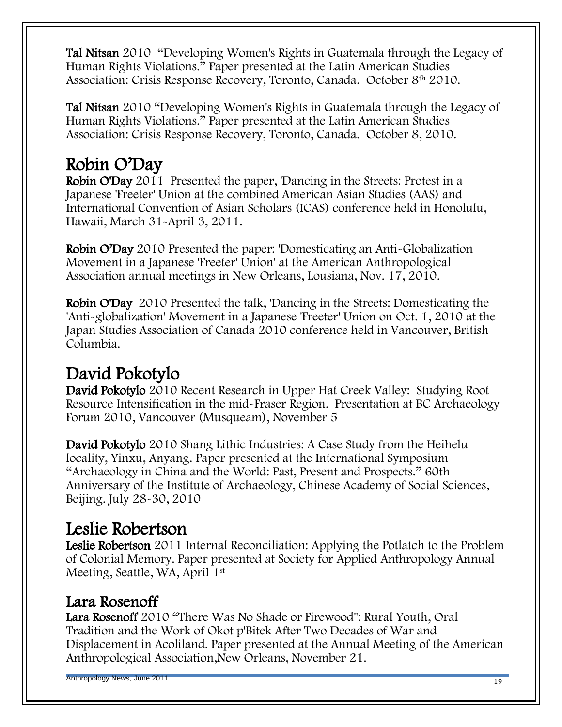Tal Nitsan 2010 "Developing Women's Rights in Guatemala through the Legacy of Human Rights Violations." Paper presented at the Latin American Studies Association: Crisis Response Recovery, Toronto, Canada. October 8th 2010.

Tal Nitsan 2010 "Developing Women's Rights in Guatemala through the Legacy of Human Rights Violations." Paper presented at the Latin American Studies Association: Crisis Response Recovery, Toronto, Canada. October 8, 2010.

# Robin O'Day

Robin O'Day 2011 Presented the paper, 'Dancing in the Streets: Protest in a Japanese 'Freeter' Union at the combined American Asian Studies (AAS) and International Convention of Asian Scholars (ICAS) conference held in Honolulu, Hawaii, March 31-April 3, 2011.

Robin O'Day 2010 Presented the paper: 'Domesticating an Anti-Globalization Movement in a Japanese 'Freeter' Union' at the American Anthropological Association annual meetings in New Orleans, Lousiana, Nov. 17, 2010.

Robin O'Day 2010 Presented the talk, 'Dancing in the Streets: Domesticating the 'Anti-globalization' Movement in a Japanese 'Freeter' Union on Oct. 1, 2010 at the Japan Studies Association of Canada 2010 conference held in Vancouver, British Columbia.

# David Pokotylo

David Pokotylo 2010 Recent Research in Upper Hat Creek Valley: Studying Root Resource Intensification in the mid-Fraser Region. Presentation at BC Archaeology Forum 2010, Vancouver (Musqueam), November 5

David Pokotylo 2010 Shang Lithic Industries: A Case Study from the Heihelu locality, Yinxu, Anyang. Paper presented at the International Symposium "Archaeology in China and the World: Past, Present and Prospects." 60th Anniversary of the Institute of Archaeology, Chinese Academy of Social Sciences, Beijing. July 28-30, 2010

## Leslie Robertson

Leslie Robertson 2011 Internal Reconciliation: Applying the Potlatch to the Problem of Colonial Memory. Paper presented at Society for Applied Anthropology Annual Meeting, Seattle, WA, April 1<sup>st</sup>

#### Lara Rosenoff

Lara Rosenoff 2010 "There Was No Shade or Firewood": Rural Youth, Oral Tradition and the Work of Okot p'Bitek After Two Decades of War and Displacement in Acoliland. Paper presented at the Annual Meeting of the American Anthropological Association,New Orleans, November 21.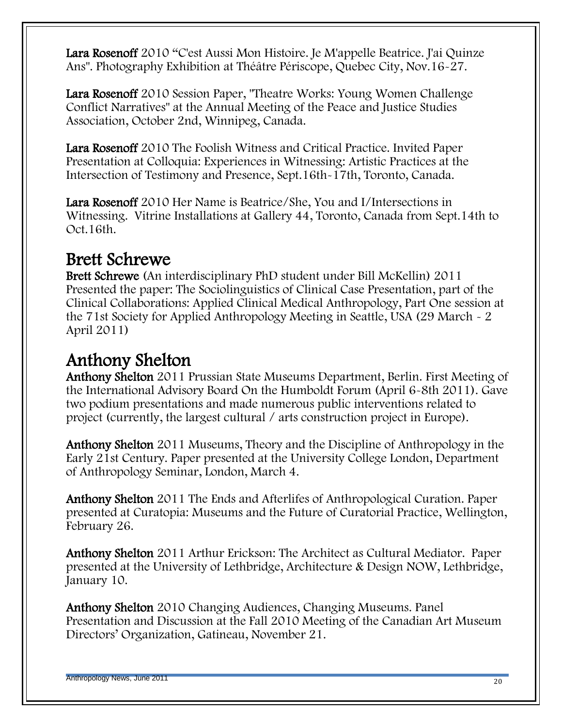Lara Rosenoff 2010 "C'est Aussi Mon Histoire. Je M'appelle Beatrice. J'ai Quinze Ans". Photography Exhibition at Théâtre Périscope, Quebec City, Nov.16-27.

Lara Rosenoff 2010 Session Paper, "Theatre Works: Young Women Challenge Conflict Narratives" at the Annual Meeting of the Peace and Justice Studies Association, October 2nd, Winnipeg, Canada.

Lara Rosenoff 2010 The Foolish Witness and Critical Practice. Invited Paper Presentation at Colloquia: Experiences in Witnessing: Artistic Practices at the Intersection of Testimony and Presence, Sept.16th-17th, Toronto, Canada.

Lara Rosenoff 2010 Her Name is Beatrice/She, You and I/Intersections in Witnessing. Vitrine Installations at Gallery 44, Toronto, Canada from Sept.14th to Oct.16th.

#### Brett Schrewe

Brett Schrewe (An interdisciplinary PhD student under Bill McKellin) 2011 Presented the paper: The Sociolinguistics of Clinical Case Presentation, part of the Clinical Collaborations: Applied Clinical Medical Anthropology, Part One session at the 71st Society for Applied Anthropology Meeting in Seattle, USA (29 March - 2 April 2011)

# Anthony Shelton

Anthony Shelton 2011 Prussian State Museums Department, Berlin. First Meeting of the International Advisory Board On the Humboldt Forum (April 6-8th 2011). Gave two podium presentations and made numerous public interventions related to project (currently, the largest cultural / arts construction project in Europe).

Anthony Shelton 2011 Museums, Theory and the Discipline of Anthropology in the Early 21st Century. Paper presented at the University College London, Department of Anthropology Seminar, London, March 4.

Anthony Shelton 2011 The Ends and Afterlifes of Anthropological Curation. Paper presented at Curatopia: Museums and the Future of Curatorial Practice, Wellington, February 26.

Anthony Shelton 2011 Arthur Erickson: The Architect as Cultural Mediator. Paper presented at the University of Lethbridge, Architecture & Design NOW, Lethbridge, January 10.

Anthony Shelton 2010 Changing Audiences, Changing Museums. Panel Presentation and Discussion at the Fall 2010 Meeting of the Canadian Art Museum Directors' Organization, Gatineau, November 21.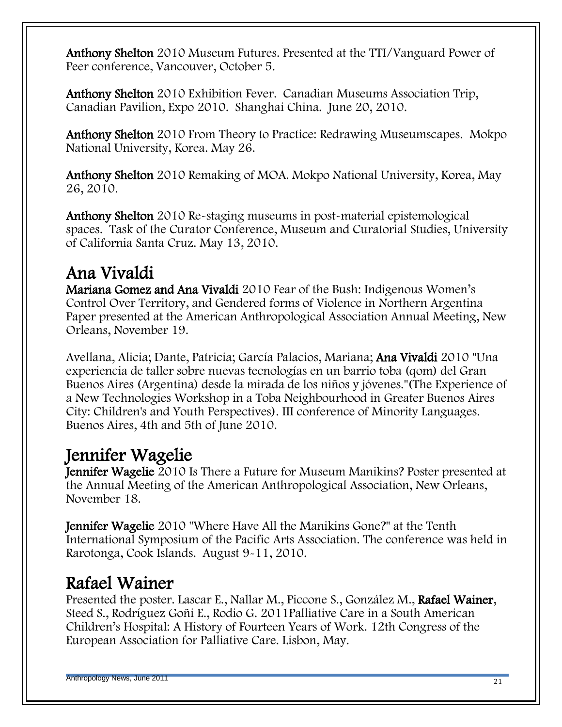Anthony Shelton 2010 Museum Futures. Presented at the TTI/Vanguard Power of Peer conference, Vancouver, October 5.

Anthony Shelton 2010 Exhibition Fever. Canadian Museums Association Trip, Canadian Pavilion, Expo 2010. Shanghai China. June 20, 2010.

Anthony Shelton 2010 From Theory to Practice: Redrawing Museumscapes. Mokpo National University, Korea. May 26.

Anthony Shelton 2010 Remaking of MOA. Mokpo National University, Korea, May 26, 2010.

Anthony Shelton 2010 Re-staging museums in post-material epistemological spaces. Task of the Curator Conference, Museum and Curatorial Studies, University of California Santa Cruz. May 13, 2010.

#### Ana Vivaldi

Mariana Gomez and Ana Vivaldi 2010 Fear of the Bush: Indigenous Women's Control Over Territory, and Gendered forms of Violence in Northern Argentina Paper presented at the American Anthropological Association Annual Meeting, New Orleans, November 19.

Avellana, Alicia; Dante, Patricia; García Palacios, Mariana; Ana Vivaldi 2010 "Una experiencia de taller sobre nuevas tecnologías en un barrio toba (qom) del Gran Buenos Aires (Argentina) desde la mirada de los niños y jóvenes."(The Experience of a New Technologies Workshop in a Toba Neighbourhood in Greater Buenos Aires City: Children's and Youth Perspectives). III conference of Minority Languages. Buenos Aires, 4th and 5th of June 2010.

## Jennifer Wagelie

Jennifer Wagelie 2010 Is There a Future for Museum Manikins? Poster presented at the Annual Meeting of the American Anthropological Association, New Orleans, November 18.

Jennifer Wagelie 2010 "Where Have All the Manikins Gone?" at the Tenth International Symposium of the Pacific Arts Association. The conference was held in Rarotonga, Cook Islands. August 9-11, 2010.

## Rafael Wainer

Presented the poster. Lascar E., Nallar M., Piccone S., González M., Rafael Wainer, Steed S., Rodríguez Goñi E., Rodio G. 2011Palliative Care in a South American Children's Hospital: A History of Fourteen Years of Work. 12th Congress of the European Association for Palliative Care. Lisbon, May.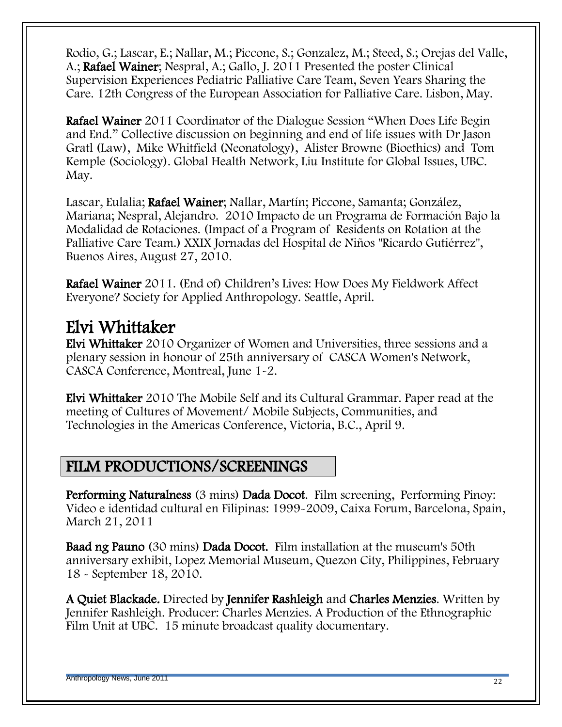Rodio, G.; Lascar, E.; Nallar, M.; Piccone, S.; Gonzalez, M.; Steed, S.; Orejas del Valle, A.; Rafael Wainer; Nespral, A.; Gallo, J. 2011 Presented the poster Clinical Supervision Experiences Pediatric Palliative Care Team, Seven Years Sharing the Care. 12th Congress of the European Association for Palliative Care. Lisbon, May.

Rafael Wainer 2011 Coordinator of the Dialogue Session "When Does Life Begin and End." Collective discussion on beginning and end of life issues with Dr Jason Gratl (Law), Mike Whitfield (Neonatology), Alister Browne (Bioethics) and Tom Kemple (Sociology). Global Health Network, Liu Institute for Global Issues, UBC. May.

Lascar, Eulalia; Rafael Wainer; Nallar, Martín; Piccone, Samanta; González, Mariana; Nespral, Alejandro. 2010 Impacto de un Programa de Formación Bajo la Modalidad de Rotaciones. (Impact of a Program of Residents on Rotation at the Palliative Care Team.) XXIX Jornadas del Hospital de Niños "Ricardo Gutiérrez", Buenos Aires, August 27, 2010.

Rafael Wainer 2011. (End of) Children's Lives: How Does My Fieldwork Affect Everyone? Society for Applied Anthropology. Seattle, April.

#### Elvi Whittaker

Elvi Whittaker 2010 Organizer of Women and Universities, three sessions and a plenary session in honour of 25th anniversary of CASCA Women's Network, CASCA Conference, Montreal, June 1-2.

Elvi Whittaker 2010 The Mobile Self and its Cultural Grammar. Paper read at the meeting of Cultures of Movement/ Mobile Subjects, Communities, and Technologies in the Americas Conference, Victoria, B.C., April 9.

#### FILM PRODUCTIONS/SCREENINGS

Performing Naturalness (3 mins) Dada Docot. Film screening, Performing Pinoy: Video e identidad cultural en Filipinas: 1999-2009, Caixa Forum, Barcelona, Spain, March 21, 2011

Baad ng Pauno (30 mins) Dada Docot. Film installation at the museum's 50th anniversary exhibit, Lopez Memorial Museum, Quezon City, Philippines, February 18 - September 18, 2010.

A Quiet Blackade. Directed by Jennifer Rashleigh and Charles Menzies. Written by Jennifer Rashleigh. Producer: Charles Menzies. A Production of the Ethnographic Film Unit at UBC. 15 minute broadcast quality documentary.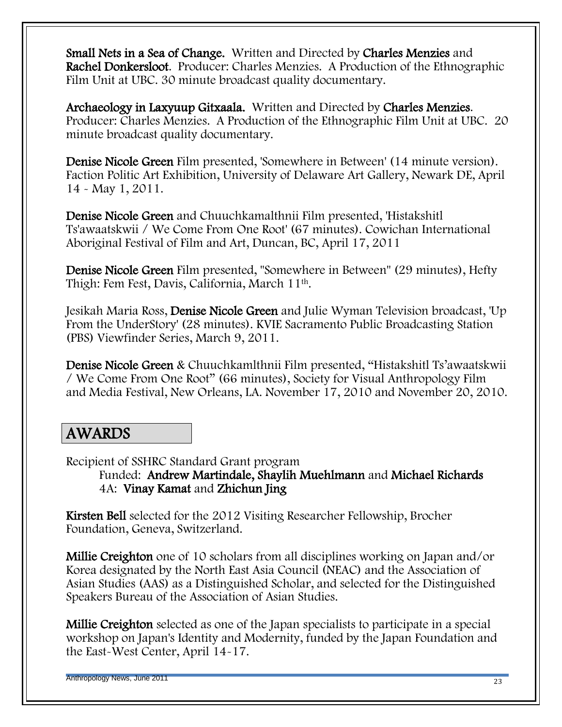Small Nets in a Sea of Change. Written and Directed by Charles Menzies and Rachel Donkersloot. Producer: Charles Menzies. A Production of the Ethnographic Film Unit at UBC. 30 minute broadcast quality documentary.

Archaeology in Laxyuup Gitxaala. Written and Directed by Charles Menzies. Producer: Charles Menzies. A Production of the Ethnographic Film Unit at UBC. 20 minute broadcast quality documentary.

Denise Nicole Green Film presented, 'Somewhere in Between' (14 minute version). Faction Politic Art Exhibition, University of Delaware Art Gallery, Newark DE, April 14 - May 1, 2011.

Denise Nicole Green and Chuuchkamalthnii Film presented, 'Histakshitl Ts'awaatskwii / We Come From One Root' (67 minutes). Cowichan International Aboriginal Festival of Film and Art, Duncan, BC, April 17, 2011

Denise Nicole Green Film presented, "Somewhere in Between" (29 minutes), Hefty Thigh: Fem Fest, Davis, California, March 11th.

Jesikah Maria Ross, Denise Nicole Green and Julie Wyman Television broadcast, 'Up From the UnderStory' (28 minutes). KVIE Sacramento Public Broadcasting Station (PBS) Viewfinder Series, March 9, 2011.

Denise Nicole Green & Chuuchkamlthnii Film presented, "Histakshitl Ts'awaatskwii / We Come From One Root‖ (66 minutes), Society for Visual Anthropology Film and Media Festival, New Orleans, LA. November 17, 2010 and November 20, 2010.

#### AWARDS

Recipient of SSHRC Standard Grant program

Funded: Andrew Martindale, Shaylih Muehlmann and Michael Richards 4A: Vinay Kamat and Zhichun Jing

Kirsten Bell selected for the 2012 Visiting Researcher Fellowship, Brocher Foundation, Geneva, Switzerland.

Millie Creighton one of 10 scholars from all disciplines working on Japan and/or Korea designated by the North East Asia Council (NEAC) and the Association of Asian Studies (AAS) as a Distinguished Scholar, and selected for the Distinguished Speakers Bureau of the Association of Asian Studies.

Millie Creighton selected as one of the Japan specialists to participate in a special workshop on Japan's Identity and Modernity, funded by the Japan Foundation and the East-West Center, April 14-17.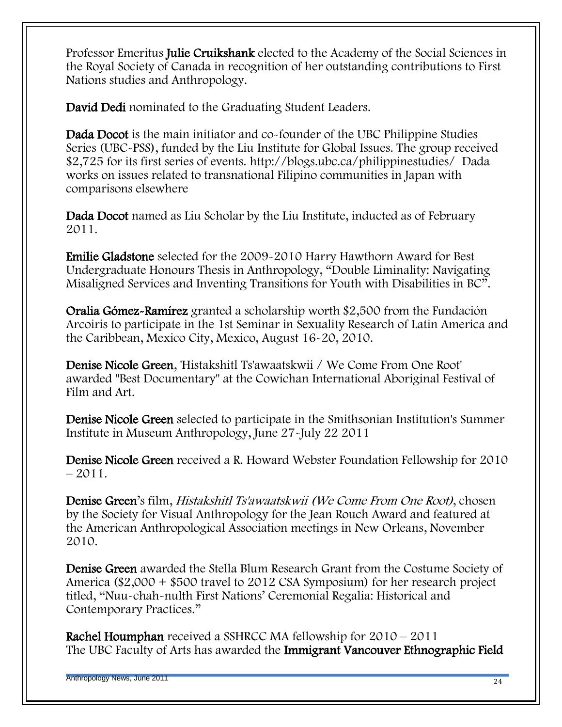Professor Emeritus Julie Cruikshank elected to the Academy of the Social Sciences in the Royal Society of Canada in recognition of her outstanding contributions to First Nations studies and Anthropology.

David Dedi nominated to the Graduating Student Leaders.

Dada Docot is the main initiator and co-founder of the UBC Philippine Studies Series (UBC-PSS), funded by the Liu Institute for Global Issues. The group received \$2,725 for its first series of events.<http://blogs.ubc.ca/philippinestudies/> Dada works on issues related to transnational Filipino communities in Japan with comparisons elsewhere

Dada Docot named as Liu Scholar by the Liu Institute, inducted as of February 2011.

Emilie Gladstone selected for the 2009-2010 Harry Hawthorn Award for Best Undergraduate Honours Thesis in Anthropology, "Double Liminality: Navigating Misaligned Services and Inventing Transitions for Youth with Disabilities in BC".

Oralia Gómez-Ramírez granted a scholarship worth \$2,500 from the Fundación Arcoiris to participate in the 1st Seminar in Sexuality Research of Latin America and the Caribbean, Mexico City, Mexico, August 16-20, 2010.

Denise Nicole Green, 'Histakshitl Ts'awaatskwii / We Come From One Root' awarded "Best Documentary" at the Cowichan International Aboriginal Festival of Film and Art.

Denise Nicole Green selected to participate in the Smithsonian Institution's Summer Institute in Museum Anthropology, June 27-July 22 2011

Denise Nicole Green received a R. Howard Webster Foundation Fellowship for 2010  $-2011.$ 

Denise Green's film, Histakshitl Ts'awaatskwii (We Come From One Root), chosen by the Society for Visual Anthropology for the Jean Rouch Award and featured at the American Anthropological Association meetings in New Orleans, November 2010.

Denise Green awarded the Stella Blum Research Grant from the Costume Society of America (\$2,000 + \$500 travel to 2012 CSA Symposium) for her research project titled, "Nuu-chah-nulth First Nations' Ceremonial Regalia: Historical and Contemporary Practices."

Rachel Houmphan received a SSHRCC MA fellowship for 2010 – 2011 The UBC Faculty of Arts has awarded the Immigrant Vancouver Ethnographic Field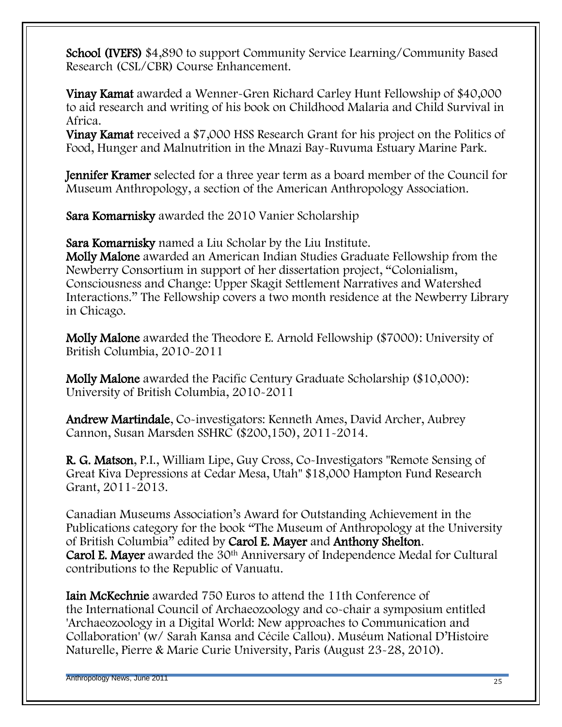School (IVEFS) \$4,890 to support Community Service Learning/Community Based Research (CSL/CBR) Course Enhancement.

Vinay Kamat awarded a Wenner-Gren Richard Carley Hunt Fellowship of \$40,000 to aid research and writing of his book on Childhood Malaria and Child Survival in Africa.

Vinay Kamat received a \$7,000 HSS Research Grant for his project on the Politics of Food, Hunger and Malnutrition in the Mnazi Bay-Ruvuma Estuary Marine Park.

Jennifer Kramer selected for a three year term as a board member of the Council for Museum Anthropology, a section of the American Anthropology Association.

Sara Komarnisky awarded the 2010 Vanier Scholarship

Sara Komarnisky named a Liu Scholar by the Liu Institute.

Molly Malone awarded an American Indian Studies Graduate Fellowship from the Newberry Consortium in support of her dissertation project, "Colonialism, Consciousness and Change: Upper Skagit Settlement Narratives and Watershed Interactions." The Fellowship covers a two month residence at the Newberry Library in Chicago.

Molly Malone awarded the Theodore E. Arnold Fellowship (\$7000): University of British Columbia, 2010-2011

Molly Malone awarded the Pacific Century Graduate Scholarship (\$10,000): University of British Columbia, 2010-2011

Andrew Martindale, Co-investigators: Kenneth Ames, David Archer, Aubrey Cannon, Susan Marsden SSHRC (\$200,150), 2011-2014.

R. G. Matson, P.I., William Lipe, Guy Cross, Co-Investigators "Remote Sensing of Great Kiva Depressions at Cedar Mesa, Utah" \$18,000 Hampton Fund Research Grant, 2011-2013.

Canadian Museums Association's Award for Outstanding Achievement in the Publications category for the book "The Museum of Anthropology at the University of British Columbia" edited by Carol E. Mayer and Anthony Shelton. Carol E. Mayer awarded the 30th Anniversary of Independence Medal for Cultural contributions to the Republic of Vanuatu.

Iain McKechnie awarded 750 Euros to attend the 11th Conference of the International Council of Archaeozoology and co-chair a symposium entitled 'Archaeozoology in a Digital World: New approaches to Communication and Collaboration' (w/ Sarah Kansa and Cécile Callou). Muséum National D'Histoire Naturelle, Pierre & Marie Curie University, Paris (August 23-28, 2010).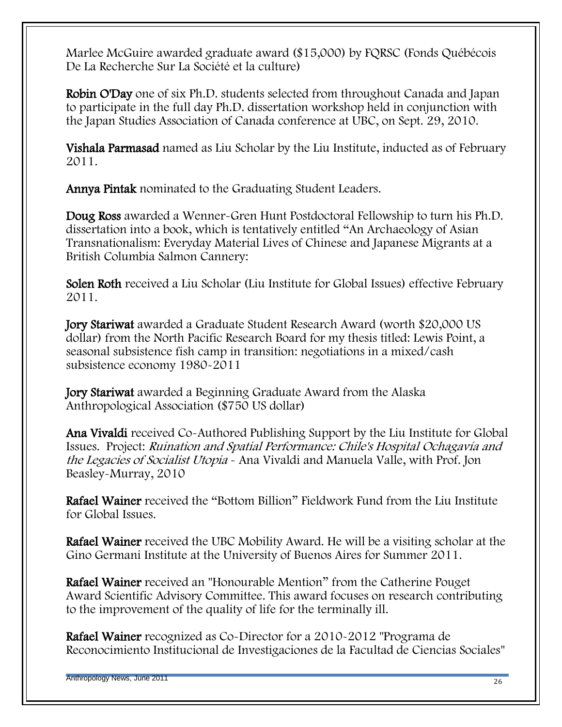Marlee McGuire awarded graduate award (\$15,000) by FQRSC (Fonds Québécois De La Recherche Sur La Société et la culture)

Robin O'Day one of six Ph.D. students selected from throughout Canada and Japan to participate in the full day Ph.D. dissertation workshop held in conjunction with the Japan Studies Association of Canada conference at UBC, on Sept. 29, 2010.

Vishala Parmasad named as Liu Scholar by the Liu Institute, inducted as of February 2011.

Annya Pintak nominated to the Graduating Student Leaders.

Doug Ross awarded a Wenner-Gren Hunt Postdoctoral Fellowship to turn his Ph.D. dissertation into a book, which is tentatively entitled "An Archaeology of Asian Transnationalism: Everyday Material Lives of Chinese and Japanese Migrants at a British Columbia Salmon Cannery:

Solen Roth received a Liu Scholar (Liu Institute for Global Issues) effective February 2011.

Jory Stariwat awarded a Graduate Student Research Award (worth \$20,000 US dollar) from the North Pacific Research Board for my thesis titled: Lewis Point, a seasonal subsistence fish camp in transition: negotiations in a mixed/cash subsistence economy 1980-2011

Jory Stariwat awarded a Beginning Graduate Award from the Alaska Anthropological Association (\$750 US dollar)

Ana Vivaldi received Co-Authored Publishing Support by the Liu Institute for Global Issues. Project: Ruination and Spatial Performance: Chile's Hospital Ochagavía and the Legacies of Socialist Utopia - Ana Vivaldi and Manuela Valle, with Prof. Jon Beasley-Murray, 2010

**Rafael Wainer** received the "Bottom Billion" Fieldwork Fund from the Liu Institute for Global Issues.

Rafael Wainer received the UBC Mobility Award. He will be a visiting scholar at the Gino Germani Institute at the University of Buenos Aires for Summer 2011.

**Rafael Wainer** received an "Honourable Mention" from the Catherine Pouget Award Scientific Advisory Committee. This award focuses on research contributing to the improvement of the quality of life for the terminally ill.

Rafael Wainer recognized as Co-Director for a 2010-2012 "Programa de Reconocimiento Institucional de Investigaciones de la Facultad de Ciencias Sociales"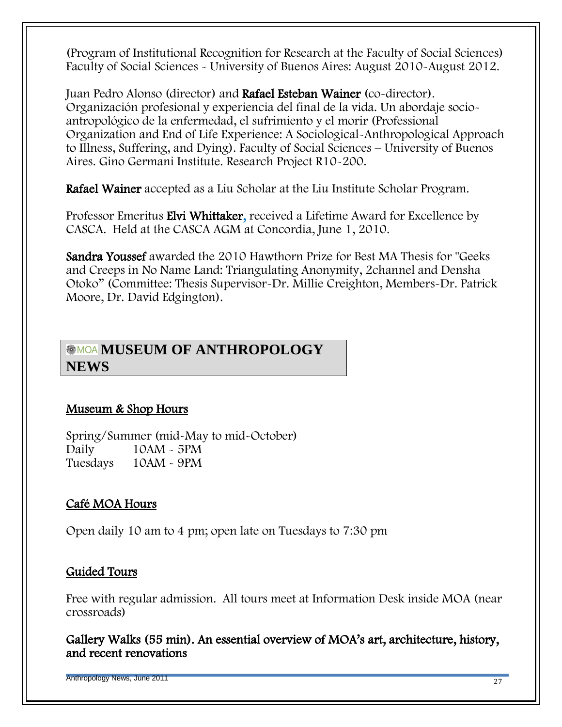(Program of Institutional Recognition for Research at the Faculty of Social Sciences) Faculty of Social Sciences - University of Buenos Aires: August 2010-August 2012.

Juan Pedro Alonso (director) and Rafael Esteban Wainer (co-director). Organización profesional y experiencia del final de la vida. Un abordaje socioantropológico de la enfermedad, el sufrimiento y el morir (Professional Organization and End of Life Experience: A Sociological-Anthropological Approach to Illness, Suffering, and Dying). Faculty of Social Sciences – University of Buenos Aires. Gino Germani Institute. Research Project R10-200.

Rafael Wainer accepted as a Liu Scholar at the Liu Institute Scholar Program.

Professor Emeritus Elvi Whittaker, received a Lifetime Award for Excellence by CASCA. Held at the CASCA AGM at Concordia, June 1, 2010.

Sandra Youssef awarded the 2010 Hawthorn Prize for Best MA Thesis for "Geeks and Creeps in No Name Land: Triangulating Anonymity, 2channel and Densha Otoko‖ (Committee: Thesis Supervisor-Dr. Millie Creighton, Members-Dr. Patrick Moore, Dr. David Edgington).

#### **MUSEUM OF ANTHROPOLOGY NEWS**

#### Museum & Shop Hours

Spring/Summer (mid-May to mid-October) Daily 10AM - 5PM Tuesdays 10AM - 9PM

#### Café MOA Hours

Open daily 10 am to 4 pm; open late on Tuesdays to 7:30 pm

#### Guided Tours

Free with regular admission. All tours meet at Information Desk inside MOA (near crossroads)

Gallery Walks (55 min). An essential overview of MOA's art, architecture, history, and recent renovations